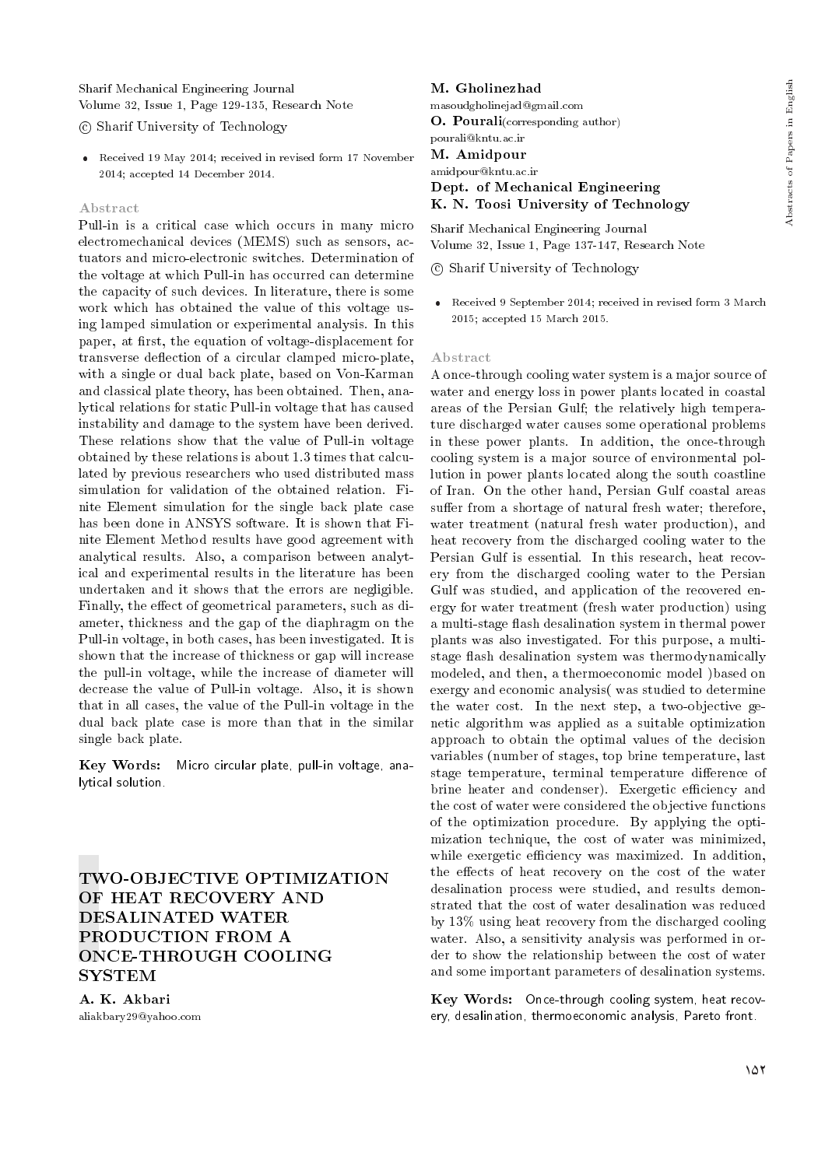Sharif Mechanical Engineering Journal Volume 32, Issue 1, Page 129-135, Research Note

c Sharif University of Technology

 Received 19 May 2014; received in revised form 17 November 2014; accepted 14 December 2014.

#### Abstract

Pull-in is a critical case which occurs in many micro electromechanical devices (MEMS) such as sensors, actuators and micro-electronic switches. Determination of the voltage at which Pull-in has occurred can determine the capacity of such devices. In literature, there is some work which has obtained the value of this voltage using lamped simulation or experimental analysis. In this paper, at first, the equation of voltage-displacement for transverse deflection of a circular clamped micro-plate, with a single or dual back plate, based on Von-Karman and classical plate theory, has been obtained. Then, analytical relations for static Pull-in voltage that has caused instability and damage to the system have been derived. These relations show that the value of Pull-in voltage obtained by these relations is about 1.3 times that calculated by previous researchers who used distributed mass simulation for validation of the obtained relation. Finite Element simulation for the single back plate case has been done in ANSYS software. It is shown that Finite Element Method results have good agreement with analytical results. Also, a comparison between analytical and experimental results in the literature has been undertaken and it shows that the errors are negligible. Finally, the effect of geometrical parameters, such as diameter, thickness and the gap of the diaphragm on the Pull-in voltage, in both cases, has been investigated. It is shown that the increase of thickness or gap will increase the pull-in voltage, while the increase of diameter will decrease the value of Pull-in voltage. Also, it is shown that in all cases, the value of the Pull-in voltage in the dual back plate case is more than that in the similar single back plate.

Key Words: Micro circular plate, pull-in voltage, analytical solution.

# TWO-OBJECTIVE OPTIMIZATION OF HEAT RECOVERY AND DESALINATED WATER PRODUCTION FROM A ONCE-THROUGH COOLING SYSTEM

A. K. Akbari aliakbary29@yahoo.com

## M. Gholinezhad masoudgholinejad@gmail.com O. Pourali(corresponding author) pourali@kntu.ac.ir M. Amidpour amidpour@kntu.ac.ir Dept. of Mechanical Engineering K. N. Toosi University of Technology

Sharif Mechanical Engineering Journal Volume 32, Issue 1, Page 137-147, Research Note

#### c Sharif University of Technology

 Received 9 September 2014; received in revised form 3 March 2015; accepted 15 March 2015.

#### Abstract

A once-through cooling water system is a major source of water and energy loss in power plants located in coastal areas of the Persian Gulf; the relatively high temperature discharged water causes some operational problems in these power plants. In addition, the once-through cooling system is a major source of environmental pollution in power plants located along the south coastline of Iran. On the other hand, Persian Gulf coastal areas suffer from a shortage of natural fresh water; therefore, water treatment (natural fresh water production), and heat recovery from the discharged cooling water to the Persian Gulf is essential. In this research, heat recovery from the discharged cooling water to the Persian Gulf was studied, and application of the recovered energy for water treatment (fresh water production) using a multi-stage flash desalination system in thermal power plants was also investigated. For this purpose, a multistage flash desalination system was thermodynamically modeled, and then, a thermoeconomic model )based on exergy and economic analysis( was studied to determine the water cost. In the next step, a two-objective genetic algorithm was applied as a suitable optimization approach to obtain the optimal values of the decision variables (number of stages, top brine temperature, last stage temperature, terminal temperature difference of brine heater and condenser). Exergetic efficiency and the cost of water were considered the objective functions of the optimization procedure. By applying the optimization technique, the cost of water was minimized, while exergetic efficiency was maximized. In addition, the effects of heat recovery on the cost of the water desalination process were studied, and results demonstrated that the cost of water desalination was reduced by 13% using heat recovery from the discharged cooling water. Also, a sensitivity analysis was performed in order to show the relationship between the cost of water and some important parameters of desalination systems.

Key Words: Once-through cooling system, heat recovery, desalination, thermoeconomic analysis, Pareto front.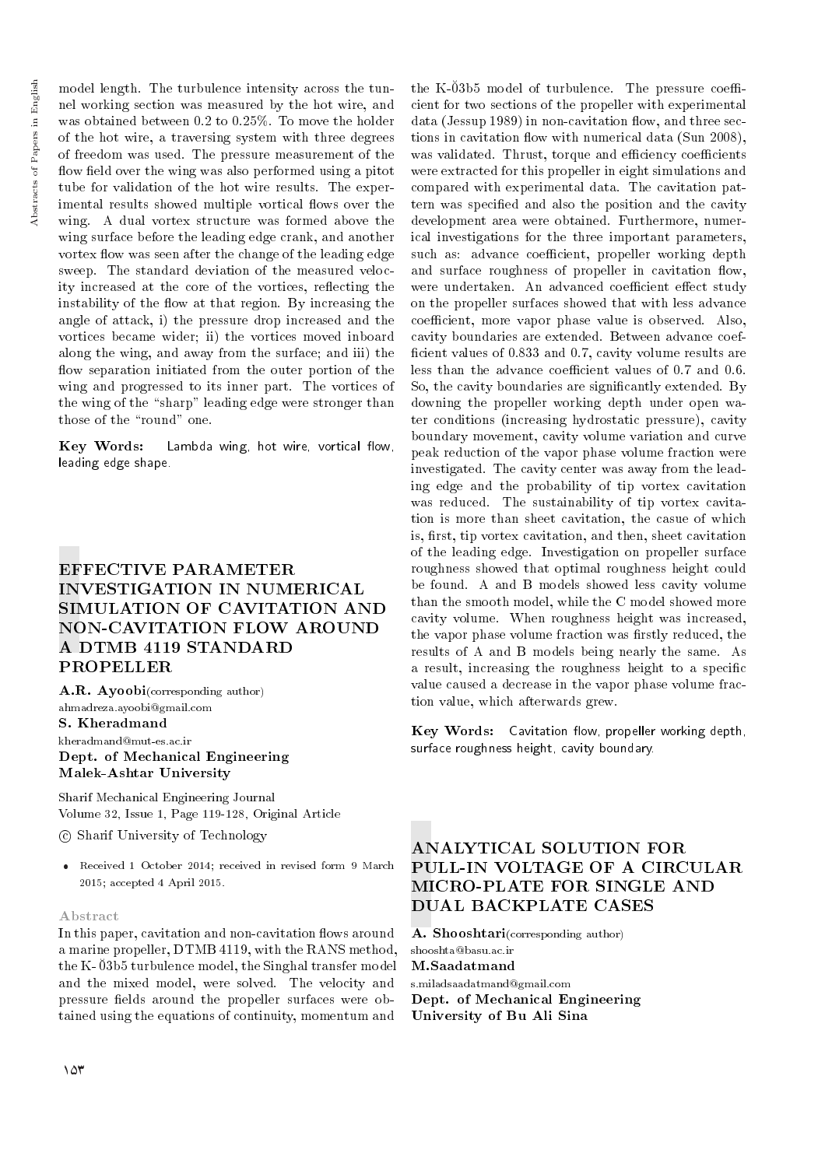model length. The turbulence intensity across the tunnel working section was measured by the hot wire, and was obtained between 0.2 to 0.25%. To move the holder of the hot wire, a traversing system with three degrees of freedom was used. The pressure measurement of the flow field over the wing was also performed using a pitot tube for validation of the hot wire results. The experimental results showed multiple vortical flows over the wing. A dual vortex structure was formed above the wing surface before the leading edge crank, and another vortex flow was seen after the change of the leading edge sweep. The standard deviation of the measured velocity increased at the core of the vortices, reflecting the instability of the flow at that region. By increasing the angle of attack, i) the pressure drop increased and the vortices became wider; ii) the vortices moved inboard along the wing, and away from the surface; and iii) the flow separation initiated from the outer portion of the wing and progressed to its inner part. The vortices of the wing of the "sharp" leading edge were stronger than those of the "round" one.

Key Words: Lambda wing, hot wire, vortical flow, leading edge shape.

# EFFECTIVE PARAMETER INVESTIGATION IN NUMERICAL SIMULATION OF CAVITATION AND NON-CAVITATION FLOW AROUND A DTMB 4119 STANDARD PROPELLER

A.R. Ayoobi(corresponding author) ahmadreza.ayoobi@gmail.com S. Kheradmand kheradmand@mut-es.ac.ir Dept. of Mechanical Engineering Malek-Ashtar University

Sharif Mechanical Engineering Journal Volume 32, Issue 1, Page 119-128, Original Article

c Sharif University of Technology

 Received 1 October 2014; received in revised form 9 March 2015; accepted 4 April 2015.

### Abstract

In this paper, cavitation and non-cavitation flows around a marine propeller, DTMB 4119, with the RANS method, the K- 03b5 turbulence model, the Singhal transfer model and the mixed model, were solved. The velocity and pressure fields around the propeller surfaces were obtained using the equations of continuity, momentum and

the K-03b5 model of turbulence. The pressure coefficient for two sections of the propeller with experimental data (Jessup 1989) in non-cavitation flow, and three sections in cavitation flow with numerical data (Sun 2008), was validated. Thrust, torque and efficiency coefficients were extracted for this propeller in eight simulations and compared with experimental data. The cavitation pattern was specied and also the position and the cavity development area were obtained. Furthermore, numerical investigations for the three important parameters, such as: advance coefficient, propeller working depth and surface roughness of propeller in cavitation flow, were undertaken. An advanced coefficient effect study on the propeller surfaces showed that with less advance coefficient, more vapor phase value is observed. Also, cavity boundaries are extended. Between advance coef ficient values of 0.833 and 0.7, cavity volume results are less than the advance coefficient values of 0.7 and 0.6. So, the cavity boundaries are signicantly extended. By downing the propeller working depth under open water conditions (increasing hydrostatic pressure), cavity boundary movement, cavity volume variation and curve peak reduction of the vapor phase volume fraction were investigated. The cavity center was away from the leading edge and the probability of tip vortex cavitation was reduced. The sustainability of tip vortex cavitation is more than sheet cavitation, the casue of which is, first, tip vortex cavitation, and then, sheet cavitation of the leading edge. Investigation on propeller surface roughness showed that optimal roughness height could be found. A and B models showed less cavity volume than the smooth model, while the C model showed more cavity volume. When roughness height was increased, the vapor phase volume fraction was firstly reduced, the results of A and B models being nearly the same. As a result, increasing the roughness height to a specific value caused a decrease in the vapor phase volume fraction value, which afterwards grew.

Key Words: Cavitation flow, propeller working depth, surface roughness height, cavity boundary.

# ANALYTICAL SOLUTION FOR PULL-IN VOLTAGE OF A CIRCULAR MICRO-PLATE FOR SINGLE AND DUAL BACKPLATE CASES

A. Shooshtari(corresponding author) shooshta@basu.ac.ir M.Saadatmand s.miladsaadatmand@gmail.com Dept. of Mechanical Engineering University of Bu Ali Sina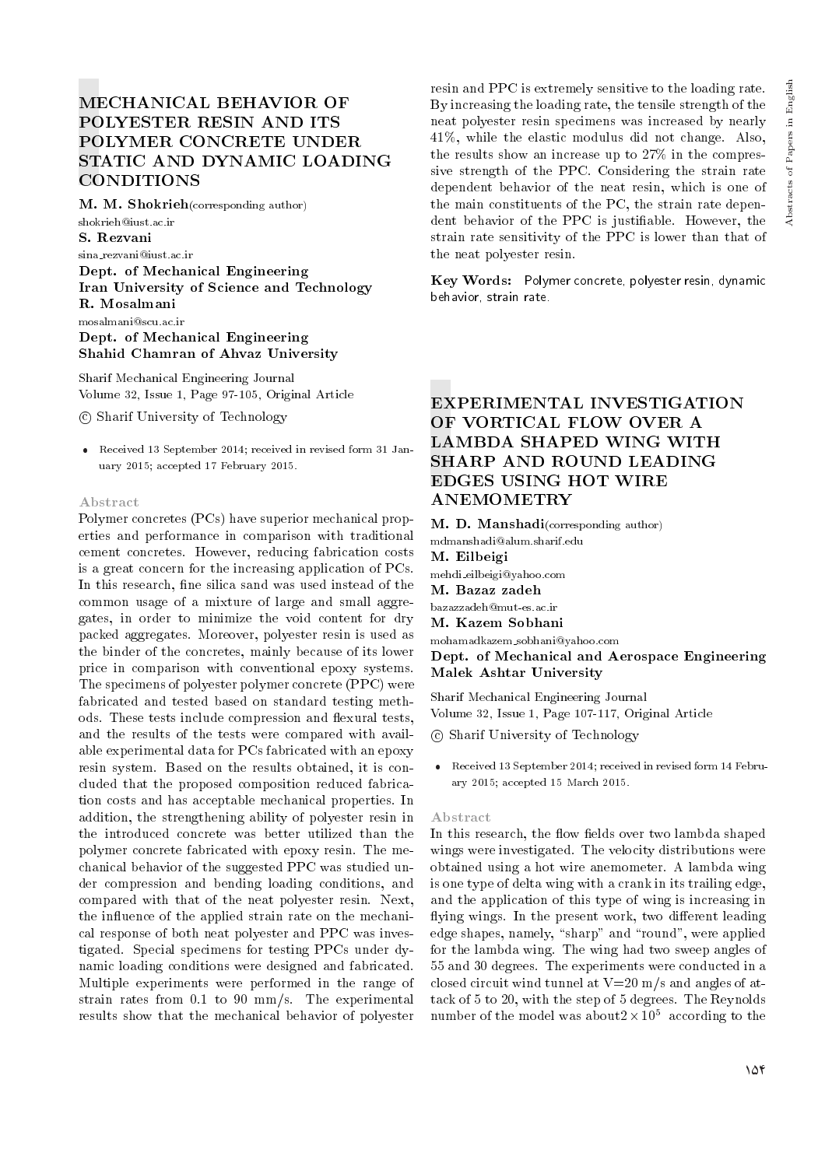M. M. Shokrieh(corresponding author) shokrieh@iust.ac.ir S. Rezvani sina rezvani@iust.ac.ir Dept. of Mechanical Engineering Iran University of Science and Technology R. Mosalmani mosalmani@scu.ac.ir

Dept. of Mechanical Engineering Shahid Chamran of Ahvaz University

Sharif Mechanical Engineering Journal Volume 32, Issue 1, Page 97-105, Original Article

c Sharif University of Technology

 Received 13 September 2014; received in revised form 31 January 2015; accepted 17 February 2015.

#### Abstract

Polymer concretes (PCs) have superior mechanical properties and performance in comparison with traditional cement concretes. However, reducing fabrication costs is a great concern for the increasing application of PCs. In this research, fine silica sand was used instead of the common usage of a mixture of large and small aggregates, in order to minimize the void content for dry packed aggregates. Moreover, polyester resin is used as the binder of the concretes, mainly because of its lower price in comparison with conventional epoxy systems. The specimens of polyester polymer concrete (PPC) were fabricated and tested based on standard testing methods. These tests include compression and flexural tests, and the results of the tests were compared with available experimental data for PCs fabricated with an epoxy resin system. Based on the results obtained, it is concluded that the proposed composition reduced fabrication costs and has acceptable mechanical properties. In addition, the strengthening ability of polyester resin in the introduced concrete was better utilized than the polymer concrete fabricated with epoxy resin. The mechanical behavior of the suggested PPC was studied under compression and bending loading conditions, and compared with that of the neat polyester resin. Next, the influence of the applied strain rate on the mechanical response of both neat polyester and PPC was investigated. Special specimens for testing PPCs under dynamic loading conditions were designed and fabricated. Multiple experiments were performed in the range of strain rates from 0.1 to 90 mm/s. The experimental results show that the mechanical behavior of polyester

resin and PPC is extremely sensitive to the loading rate. By increasing the loading rate, the tensile strength of the neat polyester resin specimens was increased by nearly 41%, while the elastic modulus did not change. Also, the results show an increase up to 27% in the compressive strength of the PPC. Considering the strain rate dependent behavior of the neat resin, which is one of the main constituents of the PC, the strain rate dependent behavior of the PPC is justiable. However, the strain rate sensitivity of the PPC is lower than that of the neat polyester resin.

Key Words: Polymer concrete, polyester resin, dynamic behavior, strain rate.

# EXPERIMENTAL INVESTIGATION OF VORTICAL FLOW OVER A LAMBDA SHAPED WING WITH SHARP AND ROUND LEADING EDGES USING HOT WIRE ANEMOMETRY

M. D. Manshadi(corresponding author) mdmanshadi@alum.sharif.edu M. Eilbeigi mehdi eilbeigi@yahoo.com M. Bazaz zadeh bazazzadeh@mut-es.ac.ir M. Kazem Sobhani mohamadkazem sobhani@yahoo.com Dept. of Mechanical and Aerospace Engineering

Malek Ashtar University

Sharif Mechanical Engineering Journal Volume 32, Issue 1, Page 107-117, Original Article

- c Sharif University of Technology
- Received 13 September 2014; received in revised form 14 February 2015; accepted 15 March 2015.

#### Abstract

In this research, the flow fields over two lambda shaped wings were investigated. The velocity distributions were obtained using a hot wire anemometer. A lambda wing is one type of delta wing with a crank in its trailing edge, and the application of this type of wing is increasing in flying wings. In the present work, two different leading  $edge shapes, namely, "sharp" and "round", were applied$ for the lambda wing. The wing had two sweep angles of 55 and 30 degrees. The experiments were conducted in a closed circuit wind tunnel at V=20 m/s and angles of attack of 5 to 20, with the step of 5 degrees. The Reynolds number of the model was about $2 \times 10^5$  according to the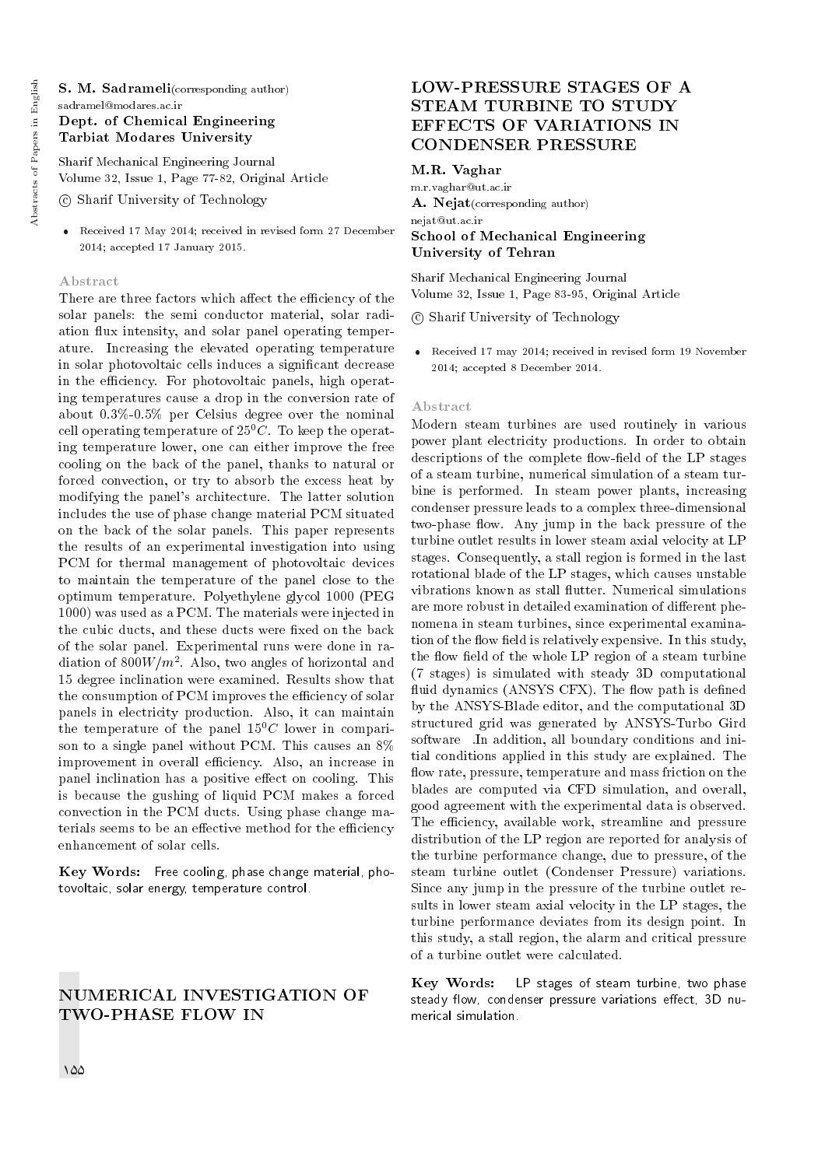S. M. Sadrameli(corresponding author) sadramel@modares.ac.ir Dept. of Chemical Engineering Tarbiat Modares University

Sharif Mechanical Engineering Journal Volume 32, Issue 1, Page 77-82, Original Article

c Sharif University of Technology

 Received 17 May 2014; received in revised form 27 December 2014; accepted 17 January 2015.

#### Abstract

There are three factors which affect the efficiency of the solar panels: the semi conductor material, solar radiation flux intensity, and solar panel operating temperature. Increasing the elevated operating temperature in solar photovoltaic cells induces a signicant decrease in the efficiency. For photovoltaic panels, high operating temperatures cause a drop in the conversion rate of about 0.3%-0.5% per Celsius degree over the nominal cell operating temperature of  $25^{0}C$ . To keep the operating temperature lower, one can either improve the free cooling on the back of the panel, thanks to natural or forced convection, or try to absorb the excess heat by modifying the panel's architecture. The latter solution includes the use of phase change material PCM situated on the back of the solar panels. This paper represents the results of an experimental investigation into using PCM for thermal management of photovoltaic devices to maintain the temperature of the panel close to the optimum temperature. Polyethylene glycol 1000 (PEG 1000) was used as a PCM. The materials were injected in the cubic ducts, and these ducts were fixed on the back of the solar panel. Experimental runs were done in radiation of  $800W/m^2$ . Also, two angles of horizontal and 15 degree inclination were examined. Results show that the consumption of PCM improves the efficiency of solar panels in electricity production. Also, it can maintain the temperature of the panel  $15^{0}C$  lower in comparison to a single panel without PCM. This causes an 8% improvement in overall efficiency. Also, an increase in panel inclination has a positive effect on cooling. This is because the gushing of liquid PCM makes a forced convection in the PCM ducts. Using phase change materials seems to be an effective method for the efficiency enhancement of solar cells.

Key Words: Free cooling, phase change material, photovoltaic, solar energy, temperature control.

## NUMERICAL INVESTIGATION OF TWO-PHASE FLOW IN

## LOW-PRESSURE STAGES OF A STEAM TURBINE TO STUDY EFFECTS OF VARIATIONS IN CONDENSER PRESSURE

## M.R. Vaghar

m.r.vaghar@ut.ac.ir A. Nejat(corresponding author) nejat@ut.ac.ir School of Mechanical Engineering University of Tehran

Sharif Mechanical Engineering Journal Volume 32, Issue 1, Page 83-95, Original Article

c Sharif University of Technology

 Received 17 may 2014; received in revised form 19 November 2014; accepted 8 December 2014.

#### Abstract

Modern steam turbines are used routinely in various power plant electricity productions. In order to obtain descriptions of the complete flow-field of the LP stages of a steam turbine, numerical simulation of a steam turbine is performed. In steam power plants, increasing condenser pressure leads to a complex three-dimensional two-phase flow. Any jump in the back pressure of the turbine outlet results in lower steam axial velocity at LP stages. Consequently, a stall region is formed in the last rotational blade of the LP stages, which causes unstable vibrations known as stall flutter. Numerical simulations are more robust in detailed examination of different phenomena in steam turbines, since experimental examination of the flow field is relatively expensive. In this study, the flow field of the whole LP region of a steam turbine (7 stages) is simulated with steady 3D computational fluid dynamics (ANSYS CFX). The flow path is defined by the ANSYS-Blade editor, and the computational 3D structured grid was generated by ANSYS-Turbo Gird software In addition, all boundary conditions and initial conditions applied in this study are explained. The flow rate, pressure, temperature and mass friction on the blades are computed via CFD simulation, and overall, good agreement with the experimental data is observed. The efficiency, available work, streamline and pressure distribution of the LP region are reported for analysis of the turbine performance change, due to pressure, of the steam turbine outlet (Condenser Pressure) variations. Since any jump in the pressure of the turbine outlet results in lower steam axial velocity in the LP stages, the turbine performance deviates from its design point. In this study, a stall region, the alarm and critical pressure of a turbine outlet were calculated.

Key Words: LP stages of steam turbine, two phase steady flow, condenser pressure variations effect, 3D numerical simulation.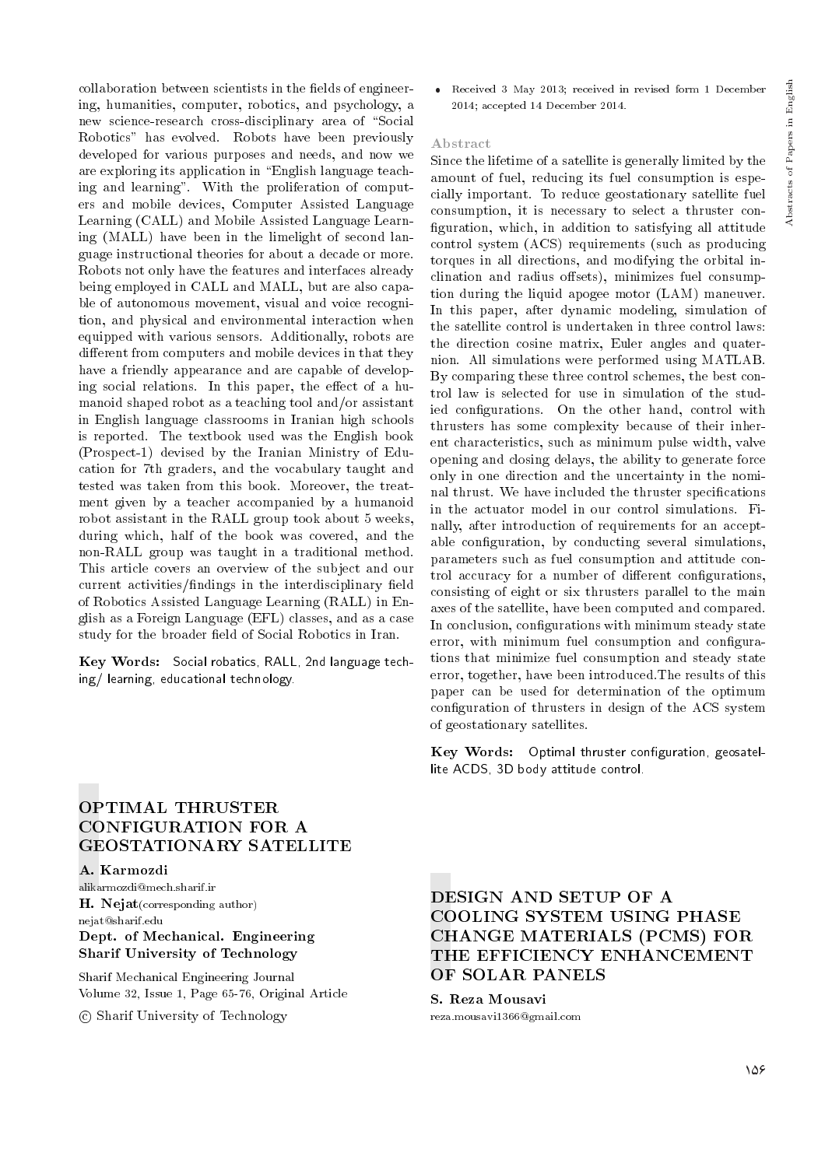collaboration between scientists in the fields of engineering, humanities, computer, robotics, and psychology, a new science-research cross-disciplinary area of "Social Robotics" has evolved. Robots have been previously developed for various purposes and needs, and now we are exploring its application in \English language teaching and learning". With the proliferation of computers and mobile devices, Computer Assisted Language Learning (CALL) and Mobile Assisted Language Learning (MALL) have been in the limelight of second language instructional theories for about a decade or more. Robots not only have the features and interfaces already being employed in CALL and MALL, but are also capable of autonomous movement, visual and voice recognition, and physical and environmental interaction when equipped with various sensors. Additionally, robots are different from computers and mobile devices in that they have a friendly appearance and are capable of developing social relations. In this paper, the effect of a humanoid shaped robot as a teaching tool and/or assistant in English language classrooms in Iranian high schools is reported. The textbook used was the English book (Prospect-1) devised by the Iranian Ministry of Education for 7th graders, and the vocabulary taught and tested was taken from this book. Moreover, the treatment given by a teacher accompanied by a humanoid robot assistant in the RALL group took about 5 weeks, during which, half of the book was covered, and the non-RALL group was taught in a traditional method. This article covers an overview of the subject and our current activities/findings in the interdisciplinary field of Robotics Assisted Language Learning (RALL) in English as a Foreign Language (EFL) classes, and as a case study for the broader field of Social Robotics in Iran.

Key Words: Social robatics, RALL, 2nd language teching/ learning, educational technology.

 Received 3 May 2013; received in revised form 1 December 2014; accepted 14 December 2014.

## Abstract

Since the lifetime of a satellite is generally limited by the amount of fuel, reducing its fuel consumption is especially important. To reduce geostationary satellite fuel consumption, it is necessary to select a thruster con figuration, which, in addition to satisfying all attitude control system (ACS) requirements (such as producing torques in all directions, and modifying the orbital inclination and radius offsets), minimizes fuel consumption during the liquid apogee motor (LAM) maneuver. In this paper, after dynamic modeling, simulation of the satellite control is undertaken in three control laws: the direction cosine matrix, Euler angles and quaternion. All simulations were performed using MATLAB. By comparing these three control schemes, the best control law is selected for use in simulation of the studied configurations. On the other hand, control with thrusters has some complexity because of their inherent characteristics, such as minimum pulse width, valve opening and closing delays, the ability to generate force only in one direction and the uncertainty in the nominal thrust. We have included the thruster specications in the actuator model in our control simulations. Finally, after introduction of requirements for an acceptable configuration, by conducting several simulations, parameters such as fuel consumption and attitude control accuracy for a number of different configurations, consisting of eight or six thrusters parallel to the main axes of the satellite, have been computed and compared. In conclusion, configurations with minimum steady state error, with minimum fuel consumption and configurations that minimize fuel consumption and steady state error, together, have been introduced.The results of this paper can be used for determination of the optimum conguration of thrusters in design of the ACS system of geostationary satellites.

Key Words: Optimal thruster configuration, geosatellite ACDS, 3D body attitude control.

## OPTIMAL THRUSTER CONFIGURATION FOR A GEOSTATIONARY SATELLITE

A. Karmozdi

alikarmozdi@mech.sharif.ir H. Nejat(corresponding author) nejat@sharif.edu Dept. of Mechanical. Engineering Sharif University of Technology

Sharif Mechanical Engineering Journal Volume 32, Issue 1, Page 65-76, Original Article

c Sharif University of Technology

DESIGN AND SETUP OF A COOLING SYSTEM USING PHASE CHANGE MATERIALS (PCMS) FOR THE EFFICIENCY ENHANCEMENT OF SOLAR PANELS

S. Reza Mousavi reza.mousavi1366@gmail.com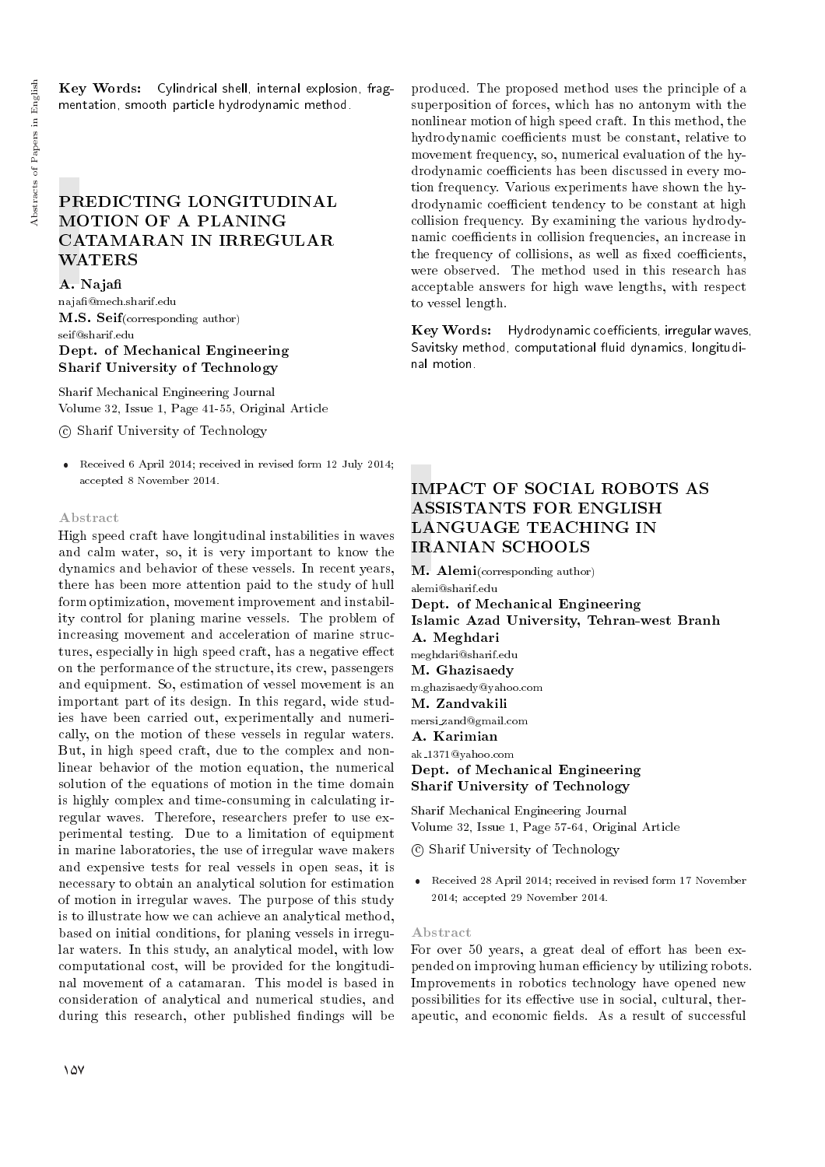Key Words: Cylindrical shell, internal explosion, fragmentation, smooth particle hydrodynamic method.

# PREDICTING LONGITUDINAL MOTION OF A PLANING CATAMARAN IN IRREGULAR WATERS

#### A. Naja

naja@mech.sharif.edu M.S. Seif(corresponding author) seif@sharif.edu Dept. of Mechanical Engineering Sharif University of Technology

Sharif Mechanical Engineering Journal Volume 32, Issue 1, Page 41-55, Original Article

c Sharif University of Technology

 Received 6 April 2014; received in revised form 12 July 2014; accepted 8 November 2014.

#### Abstract

High speed craft have longitudinal instabilities in waves and calm water, so, it is very important to know the dynamics and behavior of these vessels. In recent years, there has been more attention paid to the study of hull form optimization, movement improvement and instability control for planing marine vessels. The problem of increasing movement and acceleration of marine structures, especially in high speed craft, has a negative effect on the performance of the structure, its crew, passengers and equipment. So, estimation of vessel movement is an important part of its design. In this regard, wide studies have been carried out, experimentally and numerically, on the motion of these vessels in regular waters. But, in high speed craft, due to the complex and nonlinear behavior of the motion equation, the numerical solution of the equations of motion in the time domain is highly complex and time-consuming in calculating irregular waves. Therefore, researchers prefer to use experimental testing. Due to a limitation of equipment in marine laboratories, the use of irregular wave makers and expensive tests for real vessels in open seas, it is necessary to obtain an analytical solution for estimation of motion in irregular waves. The purpose of this study is to illustrate how we can achieve an analytical method, based on initial conditions, for planing vessels in irregular waters. In this study, an analytical model, with low computational cost, will be provided for the longitudinal movement of a catamaran. This model is based in consideration of analytical and numerical studies, and during this research, other published findings will be

produced. The proposed method uses the principle of a superposition of forces, which has no antonym with the nonlinear motion of high speed craft. In this method, the hydrodynamic coefficients must be constant, relative to movement frequency, so, numerical evaluation of the hydrodynamic coefficients has been discussed in every motion frequency. Various experiments have shown the hydrodynamic coefficient tendency to be constant at high collision frequency. By examining the various hydrodynamic coefficients in collision frequencies, an increase in the frequency of collisions, as well as fixed coefficients, were observed. The method used in this research has acceptable answers for high wave lengths, with respect to vessel length.

Key Words: Hydrodynamic coefficients, irregular waves, Savitsky method, computational fluid dynamics, longitudinal motion.

## IMPACT OF SOCIAL ROBOTS AS ASSISTANTS FOR ENGLISH LANGUAGE TEACHING IN IRANIAN SCHOOLS

M. Alemi(corresponding author) alemi@sharif.edu Dept. of Mechanical Engineering Islamic Azad University, Tehran-west Branh A. Meghdari meghdari@sharif.edu M. Ghazisaedy m.ghazisaedy@yahoo.com M. Zandvakili mersi zand@gmail.com A. Karimian ak 1371@yahoo.com Dept. of Mechanical Engineering Sharif University of Technology

Sharif Mechanical Engineering Journal Volume 32, Issue 1, Page 57-64, Original Article

c Sharif University of Technology

 Received 28 April 2014; received in revised form 17 November 2014; accepted 29 November 2014.

#### Abstract

For over 50 years, a great deal of effort has been expended on improving human efficiency by utilizing robots. Improvements in robotics technology have opened new possibilities for its effective use in social, cultural, therapeutic, and economic fields. As a result of successful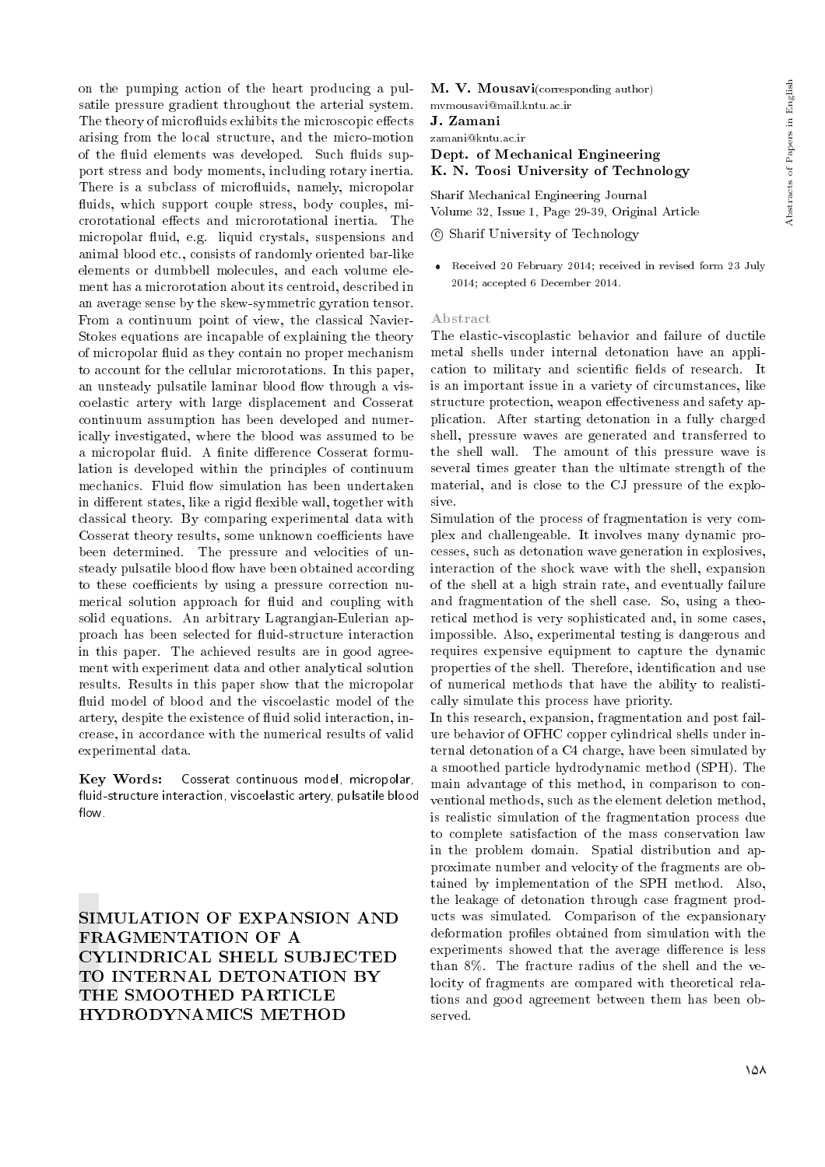on the pumping action of the heart producing a pulsatile pressure gradient throughout the arterial system. The theory of microfluids exhibits the microscopic effects arising from the local structure, and the micro-motion of the fluid elements was developed. Such fluids support stress and body moments, including rotary inertia. There is a subclass of microfluids, namely, micropolar fluids, which support couple stress, body couples, microrotational effects and microrotational inertia. The micropolar fluid, e.g. liquid crystals, suspensions and animal blood etc., consists of randomly oriented bar-like elements or dumbbell molecules, and each volume element has a microrotation about its centroid, described in an average sense by the skew-symmetric gyration tensor. From a continuum point of view, the classical Navier-Stokes equations are incapable of explaining the theory of micropolar fluid as they contain no proper mechanism to account for the cellular microrotations. In this paper, an unsteady pulsatile laminar blood flow through a viscoelastic artery with large displacement and Cosserat continuum assumption has been developed and numerically investigated, where the blood was assumed to be a micropolar fluid. A finite difference Cosserat formulation is developed within the principles of continuum mechanics. Fluid flow simulation has been undertaken in different states, like a rigid flexible wall, together with classical theory. By comparing experimental data with Cosserat theory results, some unknown coefficients have been determined. The pressure and velocities of unsteady pulsatile blood flow have been obtained according to these coefficients by using a pressure correction numerical solution approach for fluid and coupling with solid equations. An arbitrary Lagrangian-Eulerian approach has been selected for fluid-structure interaction in this paper. The achieved results are in good agreement with experiment data and other analytical solution results. Results in this paper show that the micropolar fluid model of blood and the viscoelastic model of the artery, despite the existence of fluid solid interaction, increase, in accordance with the numerical results of valid experimental data.

Key Words: Cosserat continuous model, micropolar, fluid-structure interaction, viscoelastic artery, pulsatile blood flow.

SIMULATION OF EXPANSION AND FRAGMENTATION OF A CYLINDRICAL SHELL SUBJECTED TO INTERNAL DETONATION BY THE SMOOTHED PARTICLE HYDRODYNAMICS METHOD

M. V. Mousavi(corresponding author)

mvmousavi@mail.kntu.ac.ir

J. Zamani

zamani@kntu.ac.ir

## Dept. of Mechanical Engineering K. N. Toosi University of Technology

Sharif Mechanical Engineering Journal

Volume 32, Issue 1, Page 29-39, Original Article

c Sharif University of Technology

 Received 20 February 2014; received in revised form 23 July 2014; accepted 6 December 2014.

#### Abstract

The elastic-viscoplastic behavior and failure of ductile metal shells under internal detonation have an application to military and scientific fields of research. It is an important issue in a variety of circumstances, like structure protection, weapon effectiveness and safety application. After starting detonation in a fully charged shell, pressure waves are generated and transferred to the shell wall. The amount of this pressure wave is several times greater than the ultimate strength of the material, and is close to the CJ pressure of the explosive.

Simulation of the process of fragmentation is very complex and challengeable. It involves many dynamic processes, such as detonation wave generation in explosives, interaction of the shock wave with the shell, expansion of the shell at a high strain rate, and eventually failure and fragmentation of the shell case. So, using a theoretical method is very sophisticated and, in some cases, impossible. Also, experimental testing is dangerous and requires expensive equipment to capture the dynamic properties of the shell. Therefore, identification and use of numerical methods that have the ability to realistically simulate this process have priority.

In this research, expansion, fragmentation and post failure behavior of OFHC copper cylindrical shells under internal detonation of a C4 charge, have been simulated by a smoothed particle hydrodynamic method (SPH). The main advantage of this method, in comparison to conventional methods, such as the element deletion method, is realistic simulation of the fragmentation process due to complete satisfaction of the mass conservation law in the problem domain. Spatial distribution and approximate number and velocity of the fragments are obtained by implementation of the SPH method. Also, the leakage of detonation through case fragment products was simulated. Comparison of the expansionary deformation profiles obtained from simulation with the experiments showed that the average difference is less than 8%. The fracture radius of the shell and the velocity of fragments are compared with theoretical relations and good agreement between them has been observed.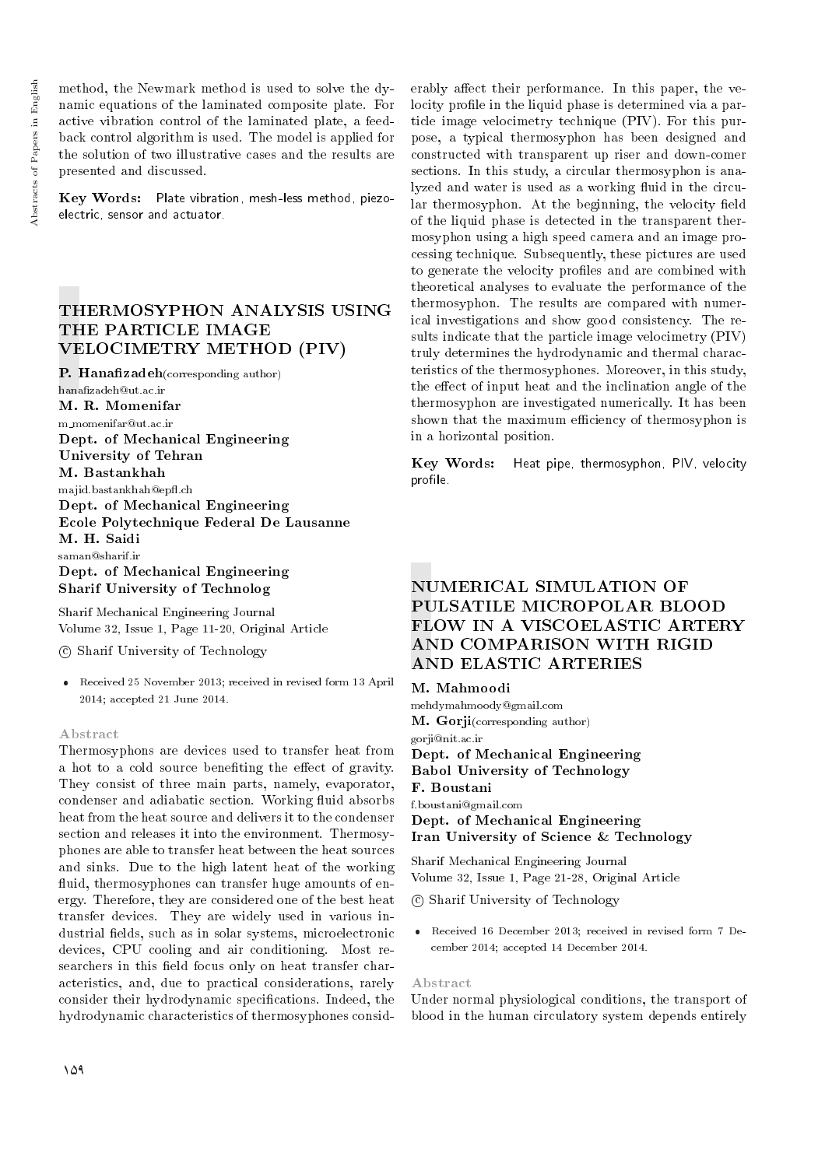method, the Newmark method is used to solve the dynamic equations of the laminated composite plate. For active vibration control of the laminated plate, a feedback control algorithm is used. The model is applied for the solution of two illustrative cases and the results are presented and discussed.

Key Words: Plate vibration, mesh-less method, piezoelectric, sensor and actuator.

## THERMOSYPHON ANALYSIS USING THE PARTICLE IMAGE VELOCIMETRY METHOD (PIV)

P. Hanafizadeh(corresponding author) hanafizadeh@ut.ac.ir M. R. Momenifar

m momenifar@ut.ac.ir

Dept. of Mechanical Engineering University of Tehran M. Bastankhah majid.bastankhah@ep
.ch Dept. of Mechanical Engineering Ecole Polytechnique Federal De Lausanne M. H. Saidi saman@sharif.ir Dept. of Mechanical Engineering Sharif University of Technolog

Sharif Mechanical Engineering Journal Volume 32, Issue 1, Page 11-20, Original Article

c Sharif University of Technology

 Received 25 November 2013; received in revised form 13 April 2014; accepted 21 June 2014.

#### Abstract

Thermosyphons are devices used to transfer heat from a hot to a cold source benefiting the effect of gravity. They consist of three main parts, namely, evaporator, condenser and adiabatic section. Working fluid absorbs heat from the heat source and delivers it to the condenser section and releases it into the environment. Thermosyphones are able to transfer heat between the heat sources and sinks. Due to the high latent heat of the working fluid, thermosyphones can transfer huge amounts of energy. Therefore, they are considered one of the best heat transfer devices. They are widely used in various industrial fields, such as in solar systems, microelectronic devices, CPU cooling and air conditioning. Most researchers in this field focus only on heat transfer characteristics, and, due to practical considerations, rarely consider their hydrodynamic specications. Indeed, the hydrodynamic characteristics of thermosyphones consid-

erably affect their performance. In this paper, the velocity profile in the liquid phase is determined via a particle image velocimetry technique (PIV). For this purpose, a typical thermosyphon has been designed and constructed with transparent up riser and down-comer sections. In this study, a circular thermosyphon is analyzed and water is used as a working fluid in the circular thermosyphon. At the beginning, the velocity field of the liquid phase is detected in the transparent thermosyphon using a high speed camera and an image processing technique. Subsequently, these pictures are used to generate the velocity profiles and are combined with theoretical analyses to evaluate the performance of the thermosyphon. The results are compared with numerical investigations and show good consistency. The results indicate that the particle image velocimetry (PIV) truly determines the hydrodynamic and thermal characteristics of the thermosyphones. Moreover, in this study, the effect of input heat and the inclination angle of the thermosyphon are investigated numerically. It has been shown that the maximum efficiency of thermosyphon is in a horizontal position.

Key Words: Heat pipe, thermosyphon, PIV, velocity profile.

# NUMERICAL SIMULATION OF PULSATILE MICROPOLAR BLOOD FLOW IN A VISCOELASTIC ARTERY AND COMPARISON WITH RIGID AND ELASTIC ARTERIES

#### M. Mahmoodi

mehdymahmoody@gmail.com M. Gorji(corresponding author) gorji@nit.ac.ir Dept. of Mechanical Engineering Babol University of Technology F. Boustani f.boustani@gmail.com Dept. of Mechanical Engineering

Iran University of Science & Technology

Sharif Mechanical Engineering Journal Volume 32, Issue 1, Page 21-28, Original Article

c Sharif University of Technology

 Received 16 December 2013; received in revised form 7 December 2014; accepted 14 December 2014.

#### Abstract

Under normal physiological conditions, the transport of blood in the human circulatory system depends entirely